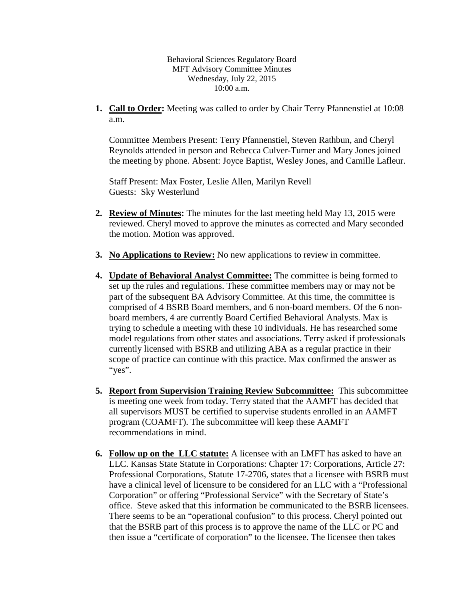Behavioral Sciences Regulatory Board MFT Advisory Committee Minutes Wednesday, July 22, 2015 10:00 a.m.

**1. Call to Order:** Meeting was called to order by Chair Terry Pfannenstiel at 10:08 a.m.

Committee Members Present: Terry Pfannenstiel, Steven Rathbun, and Cheryl Reynolds attended in person and Rebecca Culver-Turner and Mary Jones joined the meeting by phone. Absent: Joyce Baptist, Wesley Jones, and Camille Lafleur.

Staff Present: Max Foster, Leslie Allen, Marilyn Revell Guests: Sky Westerlund

- **2. Review of Minutes:** The minutes for the last meeting held May 13, 2015 were reviewed. Cheryl moved to approve the minutes as corrected and Mary seconded the motion. Motion was approved.
- **3. No Applications to Review:** No new applications to review in committee.
- **4. Update of Behavioral Analyst Committee:** The committee is being formed to set up the rules and regulations. These committee members may or may not be part of the subsequent BA Advisory Committee. At this time, the committee is comprised of 4 BSRB Board members, and 6 non-board members. Of the 6 nonboard members, 4 are currently Board Certified Behavioral Analysts. Max is trying to schedule a meeting with these 10 individuals. He has researched some model regulations from other states and associations. Terry asked if professionals currently licensed with BSRB and utilizing ABA as a regular practice in their scope of practice can continue with this practice. Max confirmed the answer as "yes".
- **5. Report from Supervision Training Review Subcommittee:** This subcommittee is meeting one week from today. Terry stated that the AAMFT has decided that all supervisors MUST be certified to supervise students enrolled in an AAMFT program (COAMFT). The subcommittee will keep these AAMFT recommendations in mind.
- **6. Follow up on the LLC statute:** A licensee with an LMFT has asked to have an LLC. Kansas State Statute in Corporations: Chapter 17: Corporations, Article 27: Professional Corporations, Statute 17-2706, states that a licensee with BSRB must have a clinical level of licensure to be considered for an LLC with a "Professional Corporation" or offering "Professional Service" with the Secretary of State's office. Steve asked that this information be communicated to the BSRB licensees. There seems to be an "operational confusion" to this process. Cheryl pointed out that the BSRB part of this process is to approve the name of the LLC or PC and then issue a "certificate of corporation" to the licensee. The licensee then takes